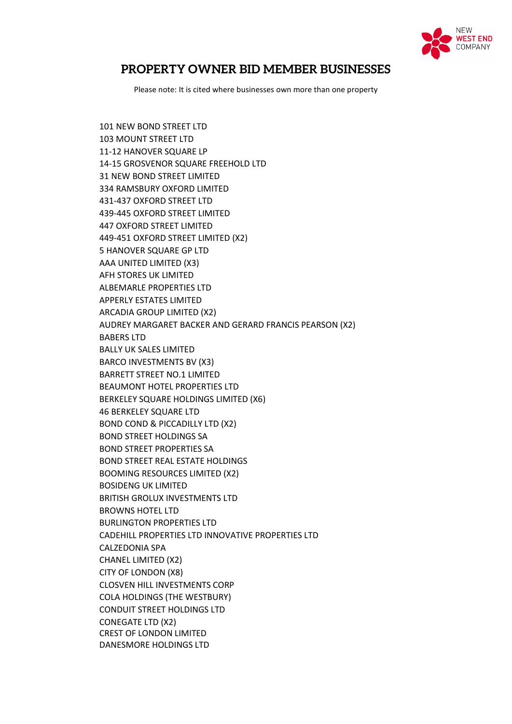

## **PROPERTY OWNER BID MEMBER BUSINESSES**

Please note: It is cited where businesses own more than one property

101 NEW BOND STREET LTD 103 MOUNT STREET LTD 11-12 HANOVER SQUARE LP 14-15 GROSVENOR SQUARE FREEHOLD LTD 31 NEW BOND STREET LIMITED 334 RAMSBURY OXFORD LIMITED 431-437 OXFORD STREET LTD 439-445 OXFORD STREET LIMITED 447 OXFORD STREET LIMITED 449-451 OXFORD STREET LIMITED (X2) 5 HANOVER SQUARE GP LTD AAA UNITED LIMITED (X3) AFH STORES UK LIMITED ALBEMARLE PROPERTIES LTD APPERLY ESTATES LIMITED ARCADIA GROUP LIMITED (X2) AUDREY MARGARET BACKER AND GERARD FRANCIS PEARSON (X2) BABERS LTD BALLY UK SALES LIMITED BARCO INVESTMENTS BV (X3) BARRETT STREET NO.1 LIMITED BEAUMONT HOTEL PROPERTIES LTD BERKELEY SQUARE HOLDINGS LIMITED (X6) 46 BERKELEY SQUARE LTD BOND COND & PICCADILLY LTD (X2) BOND STREET HOLDINGS SA BOND STREET PROPERTIES SA BOND STREET REAL ESTATE HOLDINGS BOOMING RESOURCES LIMITED (X2) BOSIDENG UK LIMITED BRITISH GROLUX INVESTMENTS LTD BROWNS HOTEL LTD BURLINGTON PROPERTIES LTD CADEHILL PROPERTIES LTD INNOVATIVE PROPERTIES LTD CALZEDONIA SPA CHANEL LIMITED (X2) CITY OF LONDON (X8) CLOSVEN HILL INVESTMENTS CORP COLA HOLDINGS (THE WESTBURY) CONDUIT STREET HOLDINGS LTD CONEGATE LTD (X2) CREST OF LONDON LIMITED DANESMORE HOLDINGS LTD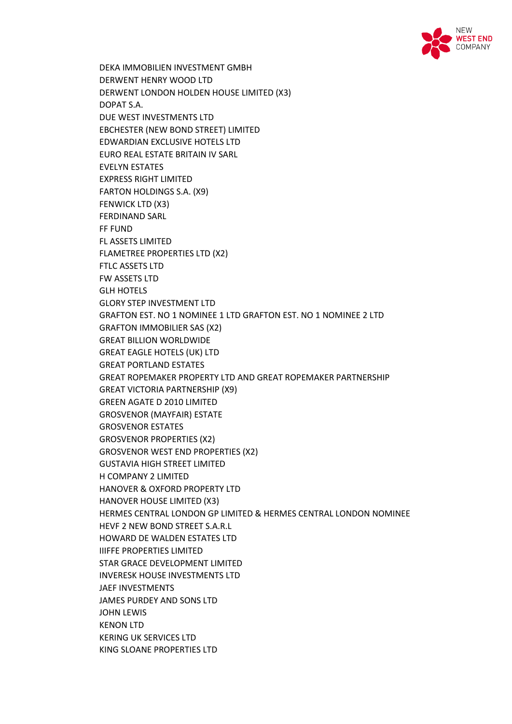

DEKA IMMOBILIEN INVESTMENT GMBH DERWENT HENRY WOOD LTD DERWENT LONDON HOLDEN HOUSE LIMITED (X3) DOPAT S.A. DUE WEST INVESTMENTS LTD EBCHESTER (NEW BOND STREET) LIMITED EDWARDIAN EXCLUSIVE HOTELS LTD EURO REAL ESTATE BRITAIN IV SARL EVELYN ESTATES EXPRESS RIGHT LIMITED FARTON HOLDINGS S.A. (X9) FENWICK LTD (X3) FERDINAND SARL FF FUND FL ASSETS LIMITED FLAMETREE PROPERTIES LTD (X2) FTLC ASSETS LTD FW ASSETS LTD GLH HOTELS GLORY STEP INVESTMENT LTD GRAFTON EST. NO 1 NOMINEE 1 LTD GRAFTON EST. NO 1 NOMINEE 2 LTD GRAFTON IMMOBILIER SAS (X2) GREAT BILLION WORLDWIDE GREAT EAGLE HOTELS (UK) LTD GREAT PORTLAND ESTATES GREAT ROPEMAKER PROPERTY LTD AND GREAT ROPEMAKER PARTNERSHIP GREAT VICTORIA PARTNERSHIP (X9) GREEN AGATE D 2010 LIMITED GROSVENOR (MAYFAIR) ESTATE GROSVENOR ESTATES GROSVENOR PROPERTIES (X2) GROSVENOR WEST END PROPERTIES (X2) GUSTAVIA HIGH STREET LIMITED H COMPANY 2 LIMITED HANOVER & OXFORD PROPERTY LTD HANOVER HOUSE LIMITED (X3) HERMES CENTRAL LONDON GP LIMITED & HERMES CENTRAL LONDON NOMINEE HEVF 2 NEW BOND STREET S.A.R.L HOWARD DE WALDEN ESTATES LTD IIIFFE PROPERTIES LIMITED STAR GRACE DEVELOPMENT LIMITED INVERESK HOUSE INVESTMENTS LTD JAEF INVESTMENTS JAMES PURDEY AND SONS LTD JOHN LEWIS KENON LTD KERING UK SERVICES LTD KING SLOANE PROPERTIES LTD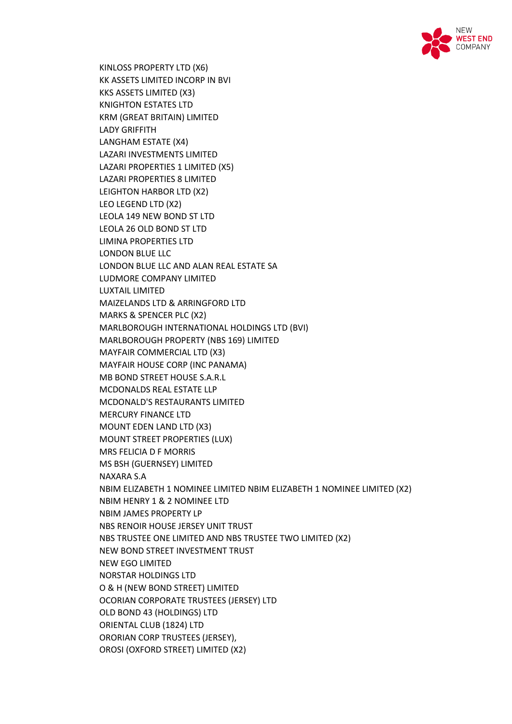

KINLOSS PROPERTY LTD (X6) KK ASSETS LIMITED INCORP IN BVI KKS ASSETS LIMITED (X3) KNIGHTON ESTATES LTD KRM (GREAT BRITAIN) LIMITED LADY GRIFFITH LANGHAM ESTATE (X4) LAZARI INVESTMENTS LIMITED LAZARI PROPERTIES 1 LIMITED (X5) LAZARI PROPERTIES 8 LIMITED LEIGHTON HARBOR LTD (X2) LEO LEGEND LTD (X2) LEOLA 149 NEW BOND ST LTD LEOLA 26 OLD BOND ST LTD LIMINA PROPERTIES LTD LONDON BLUE LLC LONDON BLUE LLC AND ALAN REAL ESTATE SA LUDMORE COMPANY LIMITED LUXTAIL LIMITED MAIZELANDS LTD & ARRINGFORD LTD MARKS & SPENCER PLC (X2) MARLBOROUGH INTERNATIONAL HOLDINGS LTD (BVI) MARLBOROUGH PROPERTY (NBS 169) LIMITED MAYFAIR COMMERCIAL LTD (X3) MAYFAIR HOUSE CORP (INC PANAMA) MB BOND STREET HOUSE S.A.R.L MCDONALDS REAL ESTATE LLP MCDONALD'S RESTAURANTS LIMITED MERCURY FINANCE LTD MOUNT EDEN LAND LTD (X3) MOUNT STREET PROPERTIES (LUX) MRS FELICIA D F MORRIS MS BSH (GUERNSEY) LIMITED NAXARA S.A NBIM ELIZABETH 1 NOMINEE LIMITED NBIM ELIZABETH 1 NOMINEE LIMITED (X2) NBIM HENRY 1 & 2 NOMINEE LTD NBIM JAMES PROPERTY LP NBS RENOIR HOUSE JERSEY UNIT TRUST NBS TRUSTEE ONE LIMITED AND NBS TRUSTEE TWO LIMITED (X2) NEW BOND STREET INVESTMENT TRUST NEW EGO LIMITED NORSTAR HOLDINGS LTD O & H (NEW BOND STREET) LIMITED OCORIAN CORPORATE TRUSTEES (JERSEY) LTD OLD BOND 43 (HOLDINGS) LTD ORIENTAL CLUB (1824) LTD ORORIAN CORP TRUSTEES (JERSEY), OROSI (OXFORD STREET) LIMITED (X2)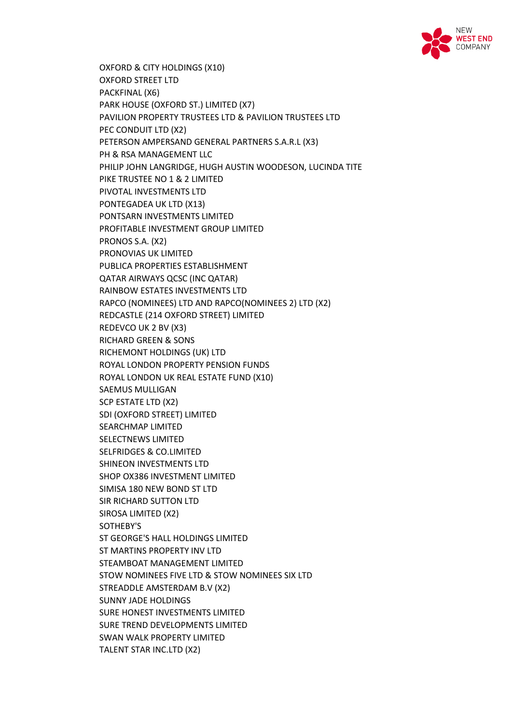

OXFORD & CITY HOLDINGS (X10) OXFORD STREET LTD PACKFINAL (X6) PARK HOUSE (OXFORD ST.) LIMITED (X7) PAVILION PROPERTY TRUSTEES LTD & PAVILION TRUSTEES LTD PEC CONDUIT LTD (X2) PETERSON AMPERSAND GENERAL PARTNERS S.A.R.L (X3) PH & RSA MANAGEMENT LLC PHILIP JOHN LANGRIDGE, HUGH AUSTIN WOODESON, LUCINDA TITE PIKE TRUSTEE NO 1 & 2 LIMITED PIVOTAL INVESTMENTS LTD PONTEGADEA UK LTD (X13) PONTSARN INVESTMENTS LIMITED PROFITABLE INVESTMENT GROUP LIMITED PRONOS S.A. (X2) PRONOVIAS UK LIMITED PUBLICA PROPERTIES ESTABLISHMENT QATAR AIRWAYS QCSC (INC QATAR) RAINBOW ESTATES INVESTMENTS LTD RAPCO (NOMINEES) LTD AND RAPCO(NOMINEES 2) LTD (X2) REDCASTLE (214 OXFORD STREET) LIMITED REDEVCO UK 2 BV (X3) RICHARD GREEN & SONS RICHEMONT HOLDINGS (UK) LTD ROYAL LONDON PROPERTY PENSION FUNDS ROYAL LONDON UK REAL ESTATE FUND (X10) SAEMUS MULLIGAN SCP ESTATE LTD (X2) SDI (OXFORD STREET) LIMITED SEARCHMAP LIMITED SELECTNEWS LIMITED SELFRIDGES & CO.LIMITED SHINEON INVESTMENTS LTD SHOP OX386 INVESTMENT LIMITED SIMISA 180 NEW BOND ST LTD SIR RICHARD SUTTON LTD SIROSA LIMITED (X2) SOTHEBY'S ST GEORGE'S HALL HOLDINGS LIMITED ST MARTINS PROPERTY INV LTD STEAMBOAT MANAGEMENT LIMITED STOW NOMINEES FIVE LTD & STOW NOMINEES SIX LTD STREADDLE AMSTERDAM B.V (X2) SUNNY JADE HOLDINGS SURE HONEST INVESTMENTS LIMITED SURE TREND DEVELOPMENTS LIMITED SWAN WALK PROPERTY LIMITED TALENT STAR INC.LTD (X2)